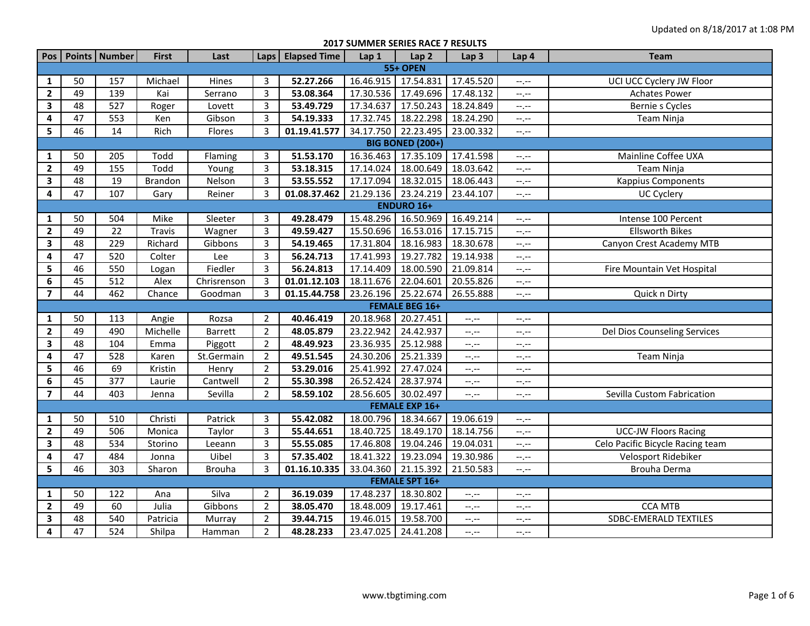**2017 SUMMER SERIES RACE 7 RESULTS**

| Pos                     |                         | Points Number    | <b>First</b> | Last           | Laps           | <b>Elapsed Time</b> | Lap1      | Lap <sub>2</sub>      | Lap <sub>3</sub> | Lap 4            | <b>Team</b>                      |  |  |
|-------------------------|-------------------------|------------------|--------------|----------------|----------------|---------------------|-----------|-----------------------|------------------|------------------|----------------------------------|--|--|
|                         |                         |                  |              |                |                |                     |           | <b>55+ OPEN</b>       |                  |                  |                                  |  |  |
| $\mathbf{1}$            | 50                      | 157              | Michael      | Hines          | 3              | 52.27.266           |           | 16.46.915 17.54.831   | 17.45.520        | $-1, -1$         | UCI UCC Cyclery JW Floor         |  |  |
| $\overline{2}$          | 49                      | 139              | Kai          | Serrano        | 3              | 53.08.364           | 17.30.536 | 17.49.696             | 17.48.132        | $-1, -1$         | <b>Achates Power</b>             |  |  |
| $\overline{\mathbf{3}}$ | $\overline{48}$         | 527              | Roger        | Lovett         | 3              | 53.49.729           | 17.34.637 | 17.50.243             | 18.24.849        | $-1, -1$         | Bernie s Cycles                  |  |  |
| 4                       | 47                      | 553              | Ken          | Gibson         | 3              | 54.19.333           | 17.32.745 | 18.22.298             | 18.24.290        | $-1, -1$         | Team Ninja                       |  |  |
| 5                       | 46                      | 14               | Rich         | Flores         | 3              | 01.19.41.577        | 34.17.750 | 22.23.495             | 23.00.332        | --,--            |                                  |  |  |
|                         | <b>BIG BONED (200+)</b> |                  |              |                |                |                     |           |                       |                  |                  |                                  |  |  |
| $\mathbf{1}$            | 50                      | 205              | Todd         | Flaming        | 3              | 51.53.170           | 16.36.463 | 17.35.109             | 17.41.598        | --,--            | Mainline Coffee UXA              |  |  |
| $\overline{2}$          | 49                      | 155              | Todd         | Young          | 3              | 53.18.315           | 17.14.024 | 18.00.649             | 18.03.642        | $-1$ , $-1$      | Team Ninja                       |  |  |
| 3                       | 48                      | 19               | Brandon      | Nelson         | 3              | 53.55.552           | 17.17.094 | 18.32.015             | 18.06.443        | $-1, -1$         | <b>Kappius Components</b>        |  |  |
| 4                       | 47                      | 107              | Gary         | Reiner         | 3              | 01.08.37.462        | 21.29.136 | 23.24.219             | 23.44.107        | $-1, -1$         | UC Cyclery                       |  |  |
|                         |                         |                  |              |                |                |                     |           | <b>ENDURO 16+</b>     |                  |                  |                                  |  |  |
| 1                       | 50                      | 504              | Mike         | Sleeter        | 3              | 49.28.479           | 15.48.296 | 16.50.969             | 16.49.214        | $-1 - 1 - 1 = 0$ | Intense 100 Percent              |  |  |
| $\mathbf{2}$            | 49                      | 22               | Travis       | Wagner         | 3              | 49.59.427           | 15.50.696 | 16.53.016             | 17.15.715        | $-1, -1$         | <b>Ellsworth Bikes</b>           |  |  |
| $\overline{\mathbf{3}}$ | 48                      | 229              | Richard      | Gibbons        | 3              | 54.19.465           | 17.31.804 | 18.16.983             | 18.30.678        | $-1, -1$         | Canyon Crest Academy MTB         |  |  |
| 4                       | 47                      | 520              | Colter       | Lee            | 3              | 56.24.713           | 17.41.993 | 19.27.782             | 19.14.938        | $-1, -1$         |                                  |  |  |
| 5                       | 46                      | 550              | Logan        | Fiedler        | 3              | 56.24.813           | 17.14.409 | 18.00.590             | 21.09.814        | $-1, -1$         | Fire Mountain Vet Hospital       |  |  |
| $\boldsymbol{6}$        | 45                      | 512              | Alex         | Chrisrenson    | 3              | 01.01.12.103        | 18.11.676 | 22.04.601             | 20.55.826        | --.--            |                                  |  |  |
| $\overline{\mathbf{z}}$ | 44                      | 462              | Chance       | Goodman        | 3              | 01.15.44.758        | 23.26.196 | 25.22.674             | 26.55.888        | $-1$ , $-1$      | Quick n Dirty                    |  |  |
|                         |                         |                  |              |                |                |                     |           | <b>FEMALE BEG 16+</b> |                  |                  |                                  |  |  |
| $\mathbf{1}$            | 50                      | 113              | Angie        | Rozsa          | $\overline{2}$ | 40.46.419           | 20.18.968 | 20.27.451             | --.--            | $-1, -1$         |                                  |  |  |
| $\mathbf{2}$            | 49                      | 490              | Michelle     | <b>Barrett</b> | $\overline{2}$ | 48.05.879           | 23.22.942 | 24.42.937             | $-,-$            | $-1, -1$         | Del Dios Counseling Services     |  |  |
| $\mathbf{3}$            | 48                      | 104              | Emma         | Piggott        | $\overline{2}$ | 48.49.923           | 23.36.935 | 25.12.988             | --,--            | --,--            |                                  |  |  |
| 4                       | 47                      | 528              | Karen        | St.Germain     | $\overline{2}$ | 49.51.545           | 24.30.206 | 25.21.339             | --,--            | --.--            | Team Ninja                       |  |  |
| 5                       | 46                      | 69               | Kristin      | Henry          | $\overline{2}$ | 53.29.016           | 25.41.992 | 27.47.024             | $-1$             | $-1, -1$         |                                  |  |  |
| 6                       | 45                      | 377              | Laurie       | Cantwell       | $\overline{2}$ | 55.30.398           | 26.52.424 | 28.37.974             | --.--            | $-1, -1$         |                                  |  |  |
| $\overline{\mathbf{z}}$ | 44                      | 403              | Jenna        | Sevilla        | $\overline{2}$ | 58.59.102           | 28.56.605 | 30.02.497             | $-,-$            | --.--            | Sevilla Custom Fabrication       |  |  |
|                         |                         |                  |              |                |                |                     |           | <b>FEMALE EXP 16+</b> |                  |                  |                                  |  |  |
| $\mathbf{1}$            | 50                      | 510              | Christi      | Patrick        | 3              | 55.42.082           | 18.00.796 | 18.34.667             | 19.06.619        | $-1$ .           |                                  |  |  |
| $\overline{2}$          | 49                      | 506              | Monica       | Taylor         | 3              | 55.44.651           | 18.40.725 | 18.49.170             | 18.14.756        | $-1$             | <b>UCC-JW</b> Floors Racing      |  |  |
| $\mathbf{3}$            | 48                      | 534              | Storino      | Leeann         | 3              | 55.55.085           | 17.46.808 | 19.04.246             | 19.04.031        | $-1, -1$         | Celo Pacific Bicycle Racing team |  |  |
| 4                       | 47                      | 484              | Jonna        | Uibel          | 3              | 57.35.402           | 18.41.322 | 19.23.094             | 19.30.986        | $-1, -1$         | Velosport Ridebiker              |  |  |
| 5                       | 46                      | 303              | Sharon       | <b>Brouha</b>  | 3              | 01.16.10.335        | 33.04.360 | 21.15.392             | 21.50.583        | $-1, -1$         | Brouha Derma                     |  |  |
|                         |                         |                  |              |                |                |                     |           | <b>FEMALE SPT 16+</b> |                  |                  |                                  |  |  |
| $\mathbf{1}$            | 50                      | 122              | Ana          | Silva          | $\overline{2}$ | 36.19.039           | 17.48.237 | 18.30.802             | --.--            | $-1 - 1 - 1 = 0$ |                                  |  |  |
| $\overline{2}$          | 49                      | 60               | Julia        | Gibbons        | $\overline{2}$ | 38.05.470           | 18.48.009 | 19.17.461             | --,--            | $-1, -1$         | <b>CCA MTB</b>                   |  |  |
| 3                       | 48                      | 540              | Patricia     | Murray         | $\overline{2}$ | 39.44.715           | 19.46.015 | 19.58.700             | --.--            | --.--            | <b>SDBC-EMERALD TEXTILES</b>     |  |  |
| 4                       | $\overline{47}$         | $\overline{524}$ | Shilpa       | Hamman         | $\overline{2}$ | 48.28.233           | 23.47.025 | 24.41.208             | --,--            | $-1, -1$         |                                  |  |  |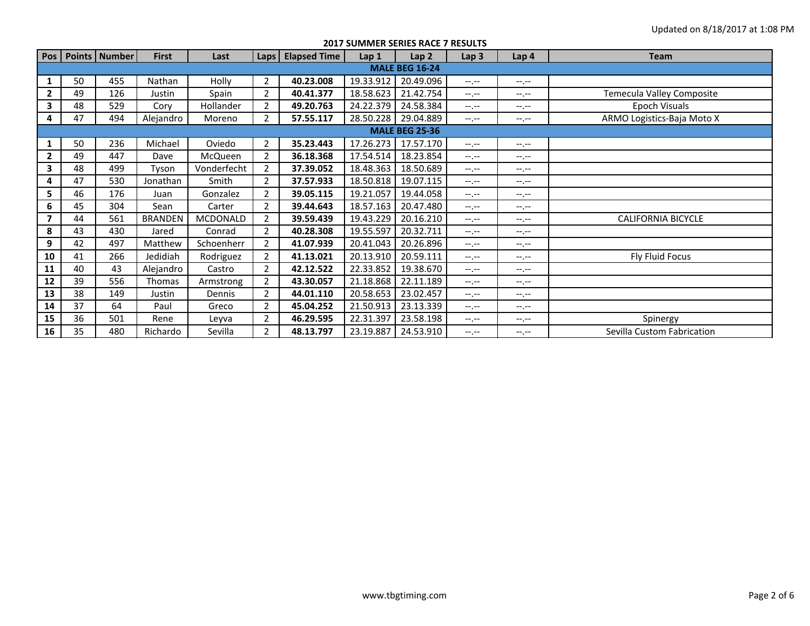**2017 SUMMER SERIES RACE 7 RESULTS**

| Pos                   |    | Points   Number | <b>First</b>   | Last            | Laps $\vert$   | <b>Elapsed Time</b> | Lap 1     | Lap <sub>2</sub> | Lap <sub>3</sub> | Lap 4            | <b>Team</b>                |  |
|-----------------------|----|-----------------|----------------|-----------------|----------------|---------------------|-----------|------------------|------------------|------------------|----------------------------|--|
| <b>MALE BEG 16-24</b> |    |                 |                |                 |                |                     |           |                  |                  |                  |                            |  |
| 1                     | 50 | 455             | Nathan         | Holly           | $\overline{2}$ | 40.23.008           | 19.33.912 | 20.49.096        | $-1 - 1 - 1 = 0$ | $-1 - 1 - 1 = 0$ |                            |  |
| $\mathbf{2}$          | 49 | 126             | Justin         | Spain           | $\overline{2}$ | 40.41.377           | 18.58.623 | 21.42.754        | $-1$ , $-1$      | $-1$ , $-1$      | Temecula Valley Composite  |  |
| 3                     | 48 | 529             | Cory           | Hollander       | 2              | 49.20.763           | 24.22.379 | 24.58.384        | $-1 - 1 - 1 = 0$ | $-1 - 1 - 1 = 0$ | Epoch Visuals              |  |
| 4                     | 47 | 494             | Alejandro      | Moreno          | 2              | 57.55.117           | 28.50.228 | 29.04.889        | $-1 - 1 - 1 = 0$ | $-1.1 -$         | ARMO Logistics-Baja Moto X |  |
| <b>MALE BEG 25-36</b> |    |                 |                |                 |                |                     |           |                  |                  |                  |                            |  |
| 1                     | 50 | 236             | Michael        | Oviedo          | 2              | 35.23.443           | 17.26.273 | 17.57.170        | $-1$             | $-1. -1$         |                            |  |
| $\mathbf{2}$          | 49 | 447             | Dave           | McQueen         | 2              | 36.18.368           | 17.54.514 | 18.23.854        | $-1$ , $-1$      | $-1 - 1 - 1 = 0$ |                            |  |
| 3                     | 48 | 499             | Tyson          | Vonderfecht     | $\overline{2}$ | 37.39.052           | 18.48.363 | 18.50.689        | $-1$ , $-1$      | $-1 - 1 - 1 = 0$ |                            |  |
| 4                     | 47 | 530             | Jonathan       | Smith           | 2              | 37.57.933           | 18.50.818 | 19.07.115        | $-1$ , $-1$      | $-1$ , $-1$      |                            |  |
| 5                     | 46 | 176             | Juan           | Gonzalez        | $\overline{2}$ | 39.05.115           | 19.21.057 | 19.44.058        | $-1. - -$        | $-1. - -$        |                            |  |
| 6                     | 45 | 304             | Sean           | Carter          | $\overline{2}$ | 39.44.643           | 18.57.163 | 20.47.480        | $-1$ , $-1$      | $-1 - 1 - 1 = 0$ |                            |  |
| $\overline{7}$        | 44 | 561             | <b>BRANDEN</b> | <b>MCDONALD</b> | $\overline{2}$ | 39.59.439           | 19.43.229 | 20.16.210        | $-1$ , $-1$      | $-1$ , $-1$      | <b>CALIFORNIA BICYCLE</b>  |  |
| 8                     | 43 | 430             | Jared          | Conrad          | $\overline{2}$ | 40.28.308           | 19.55.597 | 20.32.711        | $-1$             | $-1 - 1 - 1 = 0$ |                            |  |
| 9                     | 42 | 497             | Matthew        | Schoenherr      | $\overline{2}$ | 41.07.939           | 20.41.043 | 20.26.896        | $-1. - -$        | $-1$ , $-1$      |                            |  |
| 10                    | 41 | 266             | Jedidiah       | Rodriguez       | 2              | 41.13.021           | 20.13.910 | 20.59.111        | $-1$ , $-1$      | $-1 - 1 - 1$     | <b>Fly Fluid Focus</b>     |  |
| 11                    | 40 | 43              | Alejandro      | Castro          | 2              | 42.12.522           | 22.33.852 | 19.38.670        | $-1 - 1 - 1 = 0$ | $-1. - -$        |                            |  |
| 12                    | 39 | 556             | Thomas         | Armstrong       | 2              | 43.30.057           | 21.18.868 | 22.11.189        | $-1 - 1 - 1 = 0$ | $-1 - 1 - 1 = 0$ |                            |  |
| 13                    | 38 | 149             | Justin         | Dennis          | 2              | 44.01.110           | 20.58.653 | 23.02.457        | $-1$ , $-1$      | $-1, -1$         |                            |  |
| 14                    | 37 | 64              | Paul           | Greco           | $\overline{2}$ | 45.04.252           | 21.50.913 | 23.13.339        | $-1, -1$         | $-1.1 -$         |                            |  |
| 15                    | 36 | 501             | Rene           | Leyva           | $\overline{2}$ | 46.29.595           | 22.31.397 | 23.58.198        | $-1 - 1 - 1 = 0$ | $-1. - -$        | Spinergy                   |  |
| 16                    | 35 | 480             | Richardo       | Sevilla         | 2              | 48.13.797           | 23.19.887 | 24.53.910        | $-1$             | $-1$ , $-1$      | Sevilla Custom Fabrication |  |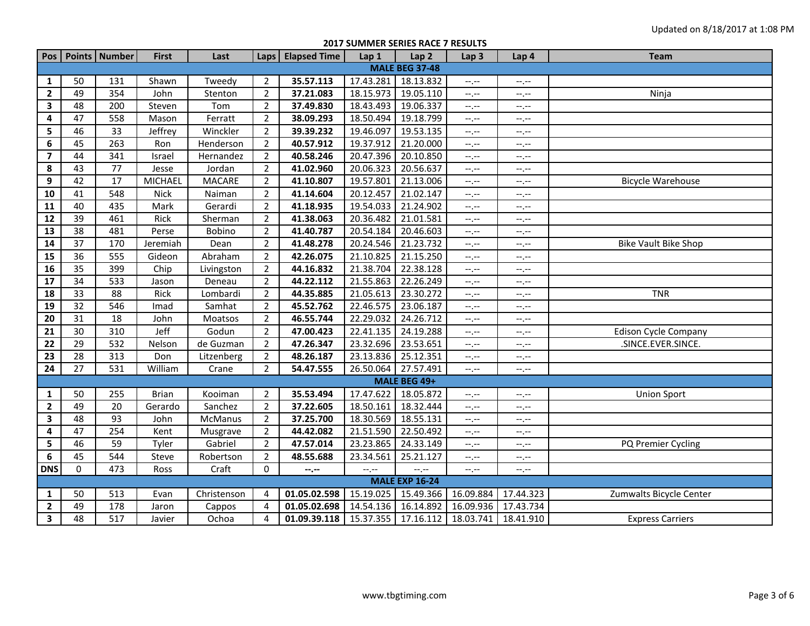**2017 SUMMER SERIES RACE 7 RESULTS**

|                         |                       | Pos   Points   Number | <b>First</b>   | Last          |                | Laps   Elapsed Time | Lap 1     | Lap <sub>2</sub>      | Lap <sub>3</sub>            | Lap 4     | <b>Team</b>                 |  |
|-------------------------|-----------------------|-----------------------|----------------|---------------|----------------|---------------------|-----------|-----------------------|-----------------------------|-----------|-----------------------------|--|
|                         |                       |                       |                |               |                |                     |           | <b>MALE BEG 37-48</b> |                             |           |                             |  |
| 1                       | 50                    | 131                   | Shawn          | Tweedy        | $\overline{2}$ | 35.57.113           | 17.43.281 | 18.13.832             | $-1$                        | $--, --$  |                             |  |
| $\mathbf{2}$            | 49                    | 354                   | John           | Stenton       | $\overline{2}$ | 37.21.083           | 18.15.973 | 19.05.110             | $-1, -1$                    | $--, --$  | Ninja                       |  |
| $\mathbf{3}$            | 48                    | 200                   | Steven         | Tom           | $\overline{2}$ | 37.49.830           | 18.43.493 | 19.06.337             | $-1, -1$                    | $-1, -1$  |                             |  |
| $\overline{\mathbf{4}}$ | 47                    | 558                   | Mason          | Ferratt       | $\overline{2}$ | 38.09.293           | 18.50.494 | 19.18.799             | $-1$                        | $-1, -1$  |                             |  |
| 5                       | 46                    | 33                    | Jeffrey        | Winckler      | $\overline{2}$ | 39.39.232           | 19.46.097 | 19.53.135             | $-1, -1$                    | $-1, -1$  |                             |  |
| 6                       | 45                    | 263                   | Ron            | Henderson     | $\overline{2}$ | 40.57.912           | 19.37.912 | 21.20.000             | $-1, -1$                    | $--, --$  |                             |  |
| $\overline{\mathbf{z}}$ | 44                    | 341                   | Israel         | Hernandez     | $\overline{2}$ | 40.58.246           | 20.47.396 | 20.10.850             | $-1$                        | $-1$      |                             |  |
| 8                       | 43                    | 77                    | Jesse          | Jordan        | $\overline{2}$ | 41.02.960           | 20.06.323 | 20.56.637             | $-1$ . $-1$                 | --,--     |                             |  |
| 9                       | 42                    | $\overline{17}$       | <b>MICHAEL</b> | <b>MACARE</b> | $\overline{2}$ | 41.10.807           | 19.57.801 | 21.13.006             | $\leftarrow$ , $\leftarrow$ | $-1, -1$  | <b>Bicycle Warehouse</b>    |  |
| 10                      | 41                    | 548                   | <b>Nick</b>    | Naiman        | 2              | 41.14.604           | 20.12.457 | 21.02.147             | $-1$                        | --.--     |                             |  |
| 11                      | 40                    | 435                   | Mark           | Gerardi       | $\overline{2}$ | 41.18.935           | 19.54.033 | 21.24.902             | $-1, -1$                    | $-1, -1$  |                             |  |
| ${\bf 12}$              | $\overline{39}$       | 461                   | Rick           | Sherman       | $\overline{2}$ | 41.38.063           | 20.36.482 | 21.01.581             | $-1, -1$                    | $-1, -1$  |                             |  |
| 13                      | 38                    | 481                   | Perse          | Bobino        | $\overline{2}$ | 41.40.787           | 20.54.184 | 20.46.603             | $-1$                        | --.--     |                             |  |
| 14                      | $\overline{37}$       | 170                   | Jeremiah       | Dean          | $\overline{2}$ | 41.48.278           | 20.24.546 | 21.23.732             | $-1$                        | $-1, -1$  | <b>Bike Vault Bike Shop</b> |  |
| 15                      | 36                    | 555                   | Gideon         | Abraham       | 2              | 42.26.075           | 21.10.825 | 21.15.250             | $-$ , $-$                   | --,--     |                             |  |
| ${\bf 16}$              | 35                    | 399                   | Chip           | Livingston    | $\overline{2}$ | 44.16.832           | 21.38.704 | 22.38.128             | $-1$                        | --.--     |                             |  |
| ${\bf 17}$              | 34                    | 533                   | Jason          | Deneau        | $\overline{2}$ | 44.22.112           | 21.55.863 | 22.26.249             | $-1$                        | $-1, -1$  |                             |  |
| 18                      | 33                    | 88                    | Rick           | Lombardi      | $\overline{2}$ | 44.35.885           | 21.05.613 | 23.30.272             | $-1$                        | --.--     | <b>TNR</b>                  |  |
| 19                      | $\overline{32}$       | 546                   | Imad           | Samhat        | $\overline{2}$ | 45.52.762           | 22.46.575 | 23.06.187             | $-1, -1$                    | $-1$      |                             |  |
| 20                      | 31                    | 18                    | John           | Moatsos       | $\overline{2}$ | 46.55.744           | 22.29.032 | 24.26.712             | $\leftarrow$ , $\leftarrow$ | --.--     |                             |  |
| 21                      | 30                    | 310                   | Jeff           | Godun         | 2              | 47.00.423           | 22.41.135 | 24.19.288             | $-1, -1$                    | $-1, -1$  | <b>Edison Cycle Company</b> |  |
| 22                      | 29                    | 532                   | Nelson         | de Guzman     | $\overline{2}$ | 47.26.347           | 23.32.696 | 23.53.651             | $-1, -1$                    | $-1, -1$  | .SINCE.EVER.SINCE.          |  |
| 23                      | 28                    | 313                   | Don            | Litzenberg    | $\overline{2}$ | 48.26.187           | 23.13.836 | 25.12.351             | $-1$                        | $-1$      |                             |  |
| 24                      | $\overline{27}$       | 531                   | William        | Crane         | $\overline{2}$ | 54.47.555           | 26.50.064 | 27.57.491             | $-1 - 1 - 1 = 0$            | $--, --$  |                             |  |
|                         |                       |                       |                |               |                |                     |           | MALE BEG 49+          |                             |           |                             |  |
| $\mathbf{1}$            | 50                    | 255                   | <b>Brian</b>   | Kooiman       | $\overline{2}$ | 35.53.494           | 17.47.622 | 18.05.872             | $-1$ , $-1$                 | $--, --$  | <b>Union Sport</b>          |  |
| $\mathbf{2}$            | 49                    | 20                    | Gerardo        | Sanchez       | 2              | 37.22.605           | 18.50.161 | 18.32.444             | $-1 - 1 - 1 = 0$            | --.--     |                             |  |
| 3                       | 48                    | 93                    | John           | McManus       | $\overline{2}$ | 37.25.700           | 18.30.569 | 18.55.131             | $-1$                        | --.--     |                             |  |
| 4                       | 47                    | 254                   | Kent           | Musgrave      | $\overline{2}$ | 44.42.082           | 21.51.590 | 22.50.492             | $-1$                        | $--, --$  |                             |  |
| 5                       | 46                    | 59                    | Tyler          | Gabriel       | $\overline{2}$ | 47.57.014           | 23.23.865 | 24.33.149             | $-1$                        | --,--     | PQ Premier Cycling          |  |
| 6                       | 45                    | 544                   | Steve          | Robertson     | 2              | 48.55.688           | 23.34.561 | 25.21.127             | $-1$ , $-1$                 | $-1, -1$  |                             |  |
| <b>DNS</b>              | $\mathbf 0$           | 473                   | Ross           | Craft         | $\mathbf 0$    | --.--               | --.--     | --.--                 | $-1, -1$                    | $-1, -1$  |                             |  |
|                         | <b>MALE EXP 16-24</b> |                       |                |               |                |                     |           |                       |                             |           |                             |  |
| 1                       | 50                    | 513                   | Evan           | Christenson   | 4              | 01.05.02.598        | 15.19.025 | 15.49.366             | 16.09.884                   | 17.44.323 | Zumwalts Bicycle Center     |  |
| $\overline{2}$          | 49                    | 178                   | Jaron          | Cappos        | $\overline{4}$ | 01.05.02.698        | 14.54.136 | 16.14.892             | 16.09.936                   | 17.43.734 |                             |  |
| $\mathbf{3}$            | 48                    | 517                   | Javier         | Ochoa         | 4              | 01.09.39.118        | 15.37.355 | 17.16.112             | 18.03.741                   | 18.41.910 | <b>Express Carriers</b>     |  |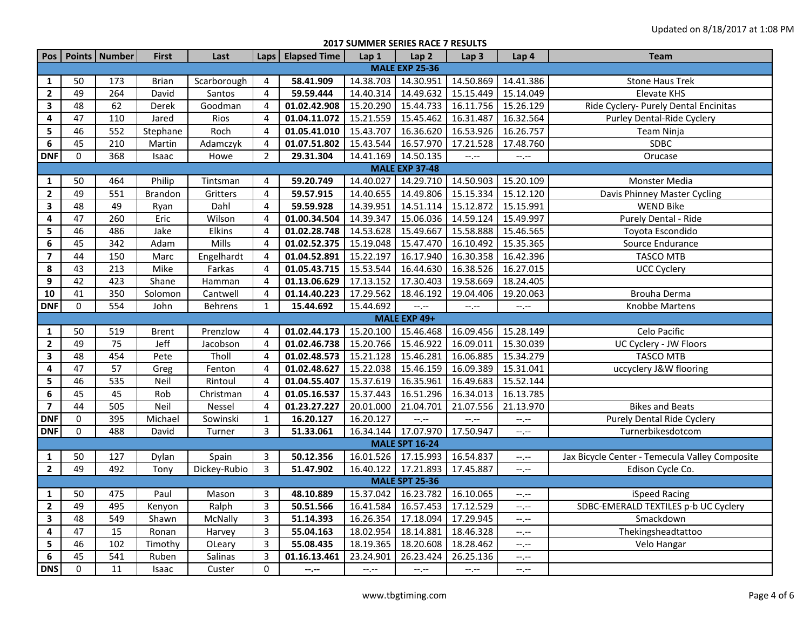**2017 SUMMER SERIES RACE 7 RESULTS**

| Pos                     |                       | Points   Number  | <b>First</b>      | Last           |                | Laps   Elapsed Time | Lap 1               | Lap <sub>2</sub>      | Lap <sub>3</sub> | Lap 4       | <b>Team</b>                                    |  |
|-------------------------|-----------------------|------------------|-------------------|----------------|----------------|---------------------|---------------------|-----------------------|------------------|-------------|------------------------------------------------|--|
|                         | <b>MALE EXP 25-36</b> |                  |                   |                |                |                     |                     |                       |                  |             |                                                |  |
| 1                       | 50                    | 173              | <b>Brian</b>      | Scarborough    | 4              | 58.41.909           | 14.38.703 14.30.951 |                       | 14.50.869        | 14.41.386   | <b>Stone Haus Trek</b>                         |  |
| $\mathbf{2}$            | 49                    | 264              | David             | Santos         | $\overline{4}$ | 59.59.444           | 14.40.314 14.49.632 |                       | 15.15.449        | 15.14.049   | Elevate KHS                                    |  |
| 3                       | 48                    | 62               | Derek             | Goodman        | $\overline{4}$ | 01.02.42.908        | 15.20.290           | 15.44.733             | 16.11.756        | 15.26.129   | Ride Cyclery- Purely Dental Encinitas          |  |
| 4                       | 47                    | 110              | Jared             | Rios           | 4              | 01.04.11.072        | 15.21.559           | 15.45.462             | 16.31.487        | 16.32.564   | Purley Dental-Ride Cyclery                     |  |
| 5                       | 46                    | 552              | Stephane          | Roch           | 4              | 01.05.41.010        | 15.43.707           | 16.36.620             | 16.53.926        | 16.26.757   | Team Ninja                                     |  |
| 6                       | 45                    | 210              | Martin            | Adamczyk       | 4              | 01.07.51.802        | 15.43.544           | 16.57.970             | 17.21.528        | 17.48.760   | <b>SDBC</b>                                    |  |
| <b>DNF</b>              | $\mathbf 0$           | 368              | Isaac             | Howe           | $\overline{2}$ | 29.31.304           | 14.41.169           | 14.50.135             | $-1$ , $-1$      | $-1$ .      | Orucase                                        |  |
|                         | <b>MALE EXP 37-48</b> |                  |                   |                |                |                     |                     |                       |                  |             |                                                |  |
| $\mathbf{1}$            | 50                    | 464              | Philip            | Tintsman       | 4              | 59.20.749           |                     | 14.40.027 14.29.710   | 14.50.903        | 15.20.109   | Monster Media                                  |  |
| $\overline{2}$          | 49                    | $\overline{551}$ | <b>Brandon</b>    | Gritters       | 4              | 59.57.915           | 14.40.655           | 14.49.806             | 15.15.334        | 15.12.120   | Davis Phinney Master Cycling                   |  |
| $\mathbf{3}$            | 48                    | 49               | Ryan              | Dahl           | $\overline{4}$ | 59.59.928           | 14.39.951           | 14.51.114             | 15.12.872        | 15.15.991   | <b>WEND Bike</b>                               |  |
| 4                       | 47                    | 260              | Eric              | Wilson         | $\overline{4}$ | 01.00.34.504        | 14.39.347           | 15.06.036             | 14.59.124        | 15.49.997   | Purely Dental - Ride                           |  |
| 5                       | 46                    | 486              | Jake              | Elkins         | $\overline{4}$ | 01.02.28.748        | 14.53.628           | 15.49.667             | 15.58.888        | 15.46.565   | Toyota Escondido                               |  |
| 6                       | 45                    | 342              | Adam              | Mills          | $\overline{4}$ | 01.02.52.375        | 15.19.048           | 15.47.470             | 16.10.492        | 15.35.365   | Source Endurance                               |  |
| $\overline{7}$          | 44                    | 150              | Marc              | Engelhardt     | 4              | 01.04.52.891        | 15.22.197           | 16.17.940             | 16.30.358        | 16.42.396   | <b>TASCO MTB</b>                               |  |
| 8                       | 43                    | 213              | Mike              | Farkas         | 4              | 01.05.43.715        | 15.53.544           | 16.44.630             | 16.38.526        | 16.27.015   | <b>UCC Cyclery</b>                             |  |
| 9                       | 42                    | 423              | Shane             | Hamman         | $\overline{4}$ | 01.13.06.629        | 17.13.152           | 17.30.403             | 19.58.669        | 18.24.405   |                                                |  |
| 10                      | 41                    | 350              | Solomon           | Cantwell       | 4              | 01.14.40.223        | 17.29.562           | 18.46.192             | 19.04.406        | 19.20.063   | Brouha Derma                                   |  |
| <b>DNF</b>              | $\mathbf 0$           | 554              | John              | <b>Behrens</b> | 1              | 15.44.692           | 15.44.692           | --,--                 | --.--            | $-1$ . $-1$ | Knobbe Martens                                 |  |
|                         |                       |                  |                   |                |                |                     |                     | MALE EXP 49+          |                  |             |                                                |  |
| $\mathbf{1}$            | 50                    | 519              | <b>Brent</b>      | Prenzlow       | 4              | 01.02.44.173        | 15.20.100           | 15.46.468             | 16.09.456        | 15.28.149   | Celo Pacific                                   |  |
| $\mathbf{2}$            | 49                    | 75               | Jeff              | Jacobson       | 4              | 01.02.46.738        | 15.20.766           | 15.46.922             | 16.09.011        | 15.30.039   | UC Cyclery - JW Floors                         |  |
| $\mathbf{3}$            | 48                    | 454              | Pete              | Tholl          | 4              | 01.02.48.573        | 15.21.128           | 15.46.281             | 16.06.885        | 15.34.279   | <b>TASCO MTB</b>                               |  |
| 4                       | $\overline{47}$       | 57               | Greg              | Fenton         | $\overline{4}$ | 01.02.48.627        | 15.22.038           | 15.46.159             | 16.09.389        | 15.31.041   | uccyclery J&W flooring                         |  |
| 5                       | 46                    | 535              | Neil              | Rintoul        | 4              | 01.04.55.407        | 15.37.619           | 16.35.961             | 16.49.683        | 15.52.144   |                                                |  |
| $\boldsymbol{6}$        | 45                    | 45               | Rob               | Christman      | $\overline{4}$ | 01.05.16.537        | 15.37.443           | 16.51.296             | 16.34.013        | 16.13.785   |                                                |  |
| $\overline{\mathbf{z}}$ | 44                    | 505              | $\overline{Neil}$ | Nessel         | 4              | 01.23.27.227        | 20.01.000           | 21.04.701             | 21.07.556        | 21.13.970   | <b>Bikes and Beats</b>                         |  |
| <b>DNF</b>              | $\mathbf 0$           | 395              | Michael           | Sowinski       | $\mathbf{1}$   | 16.20.127           | 16.20.127           | $-1$                  | $-2 - 1 - 1 = 0$ | $-1$ . $-1$ | Purely Dental Ride Cyclery                     |  |
| <b>DNF</b>              | $\mathbf 0$           | 488              | David             | Turner         | 3              | 51.33.061           |                     | 16.34.144 17.07.970   | 17.50.947        | $-1$ . $-1$ | Turnerbikesdotcom                              |  |
|                         |                       |                  |                   |                |                |                     |                     | <b>MALE SPT 16-24</b> |                  |             |                                                |  |
| 1                       | 50                    | 127              | Dylan             | Spain          | 3              | 50.12.356           |                     | 16.01.526 17.15.993   | 16.54.837        | $--, --$    | Jax Bicycle Center - Temecula Valley Composite |  |
| $\mathbf{2}$            | 49                    | 492              | Tony              | Dickey-Rubio   | $\overline{3}$ | 51.47.902           |                     | 16.40.122 17.21.893   | 17.45.887        | $-1$ , $-1$ | Edison Cycle Co.                               |  |
|                         |                       |                  |                   |                |                |                     |                     | <b>MALE SPT 25-36</b> |                  |             |                                                |  |
| $\mathbf{1}$            | 50                    | 475              | Paul              | Mason          | 3              | 48.10.889           | 15.37.042           | 16.23.782             | 16.10.065        | $-1$ .      | iSpeed Racing                                  |  |
| $\mathbf{2}$            | 49                    | 495              | Kenyon            | Ralph          | 3              | 50.51.566           | 16.41.584           | 16.57.453             | 17.12.529        | $-1$ .      | SDBC-EMERALD TEXTILES p-b UC Cyclery           |  |
| $\overline{\mathbf{3}}$ | 48                    | 549              | Shawn             | McNally        | $\overline{3}$ | 51.14.393           | 16.26.354           | 17.18.094             | 17.29.945        | $--, --$    | Smackdown                                      |  |
| 4                       | 47                    | 15               | Ronan             | Harvey         | 3              | 55.04.163           | 18.02.954           | 18.14.881             | 18.46.328        | $-1, -1$    | Thekingsheadtattoo                             |  |
| 5                       | 46                    | 102              | Timothy           | OLeary         | 3              | 55.08.435           | 18.19.365           | 18.20.608             | 18.28.462        | $-1$ .      | Velo Hangar                                    |  |
| $\bf 6$                 | 45                    | 541              | Ruben             | Salinas        | 3              | 01.16.13.461        | 23.24.901           | 26.23.424             | 26.25.136        | $-1$        |                                                |  |
| <b>DNS</b>              | $\mathbf 0$           | 11               | Isaac             | Custer         | 0              | $-2 - 1$            | $-1, -1$            | $-1, -1$              | $-1, -1$         | $-1, -1$    |                                                |  |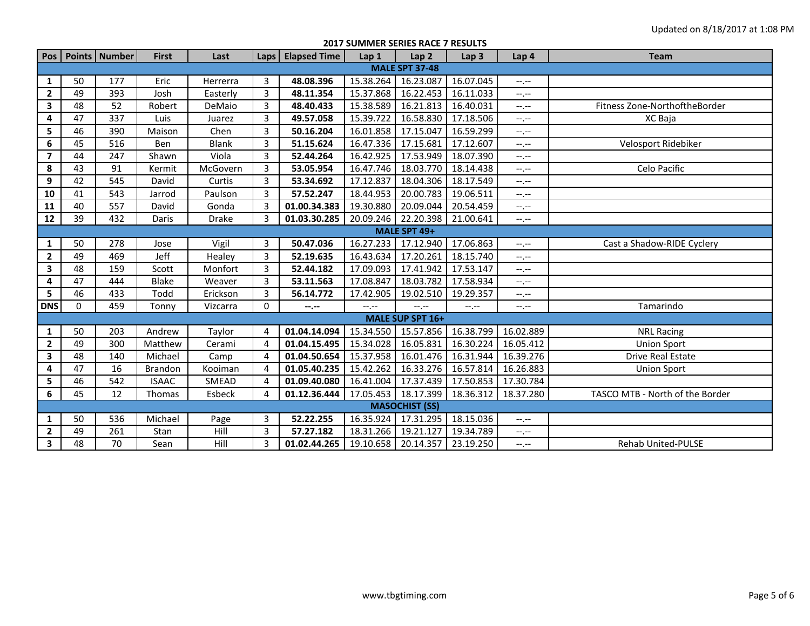**2017 SUMMER SERIES RACE 7 RESULTS**

|                |                       | Pos   Points   Number | <b>First</b>   | Last         | Laps           | <b>Elapsed Time</b> | Lap 1     | Lap <sub>2</sub>        | Lap <sub>3</sub> | Lap 4       | <b>Team</b>                     |  |  |
|----------------|-----------------------|-----------------------|----------------|--------------|----------------|---------------------|-----------|-------------------------|------------------|-------------|---------------------------------|--|--|
|                | <b>MALE SPT 37-48</b> |                       |                |              |                |                     |           |                         |                  |             |                                 |  |  |
| 1              | 50                    | 177                   | Eric           | Herrerra     | 3              | 48.08.396           | 15.38.264 | 16.23.087               | 16.07.045        | $-1, -1$    |                                 |  |  |
| $\overline{2}$ | 49                    | 393                   | Josh           | Easterly     | 3              | 48.11.354           | 15.37.868 | 16.22.453               | 16.11.033        | $-1$ .      |                                 |  |  |
| 3              | 48                    | 52                    | Robert         | DeMaio       | 3              | 48.40.433           | 15.38.589 | 16.21.813               | 16.40.031        | $-1, -1$    | Fitness Zone-NorthoftheBorder   |  |  |
| 4              | 47                    | 337                   | Luis           | Juarez       | 3              | 49.57.058           | 15.39.722 | 16.58.830               | 17.18.506        | $-1, -1$    | XC Baja                         |  |  |
| 5              | 46                    | 390                   | Maison         | Chen         | 3              | 50.16.204           | 16.01.858 | 17.15.047               | 16.59.299        | --.--       |                                 |  |  |
| 6              | 45                    | 516                   | Ben            | <b>Blank</b> | 3              | 51.15.624           | 16.47.336 | 17.15.681               | 17.12.607        | --.--       | Velosport Ridebiker             |  |  |
| $\overline{7}$ | 44                    | 247                   | Shawn          | Viola        | 3              | 52.44.264           | 16.42.925 | 17.53.949               | 18.07.390        | --.--       |                                 |  |  |
| 8              | 43                    | 91                    | Kermit         | McGovern     | 3              | 53.05.954           | 16.47.746 | 18.03.770               | 18.14.438        | $-1$ , $-1$ | Celo Pacific                    |  |  |
| 9              | 42                    | 545                   | David          | Curtis       | 3              | 53.34.692           | 17.12.837 | 18.04.306               | 18.17.549        | $-1, -1$    |                                 |  |  |
| 10             | 41                    | 543                   | Jarrod         | Paulson      | 3              | 57.52.247           | 18.44.953 | 20.00.783               | 19.06.511        | --.--       |                                 |  |  |
| 11             | 40                    | 557                   | David          | Gonda        | 3              | 01.00.34.383        | 19.30.880 | 20.09.044               | 20.54.459        | $-1, -1$    |                                 |  |  |
| 12             | 39                    | 432                   | Daris          | <b>Drake</b> | $\overline{3}$ | 01.03.30.285        | 20.09.246 | 22.20.398               | 21.00.641        | $-1, -1$    |                                 |  |  |
|                | MALE SPT 49+          |                       |                |              |                |                     |           |                         |                  |             |                                 |  |  |
| 1              | 50                    | 278                   | Jose           | Vigil        | 3              | 50.47.036           | 16.27.233 | 17.12.940               | 17.06.863        | $-1, -1$    | Cast a Shadow-RIDE Cyclery      |  |  |
| $\overline{2}$ | 49                    | 469                   | Jeff           | Healey       | 3              | 52.19.635           | 16.43.634 | 17.20.261               | 18.15.740        | --.--       |                                 |  |  |
| 3              | 48                    | 159                   | Scott          | Monfort      | 3              | 52.44.182           | 17.09.093 | 17.41.942               | 17.53.147        | $-1$ , $-1$ |                                 |  |  |
| 4              | 47                    | 444                   | <b>Blake</b>   | Weaver       | 3              | 53.11.563           | 17.08.847 | 18.03.782               | 17.58.934        | $-1, -1$    |                                 |  |  |
| 5              | 46                    | 433                   | Todd           | Erickson     | 3              | 56.14.772           | 17.42.905 | 19.02.510               | 19.29.357        | $-1, -1$    |                                 |  |  |
| <b>DNS</b>     | $\Omega$              | 459                   | Tonny          | Vizcarra     | $\Omega$       | $- - - - -$         | --.--     | $-1$ , $-1$             | $-1, -1$         | $-1, -1$    | Tamarindo                       |  |  |
|                |                       |                       |                |              |                |                     |           | <b>MALE SUP SPT 16+</b> |                  |             |                                 |  |  |
| 1              | 50                    | 203                   | Andrew         | Taylor       | 4              | 01.04.14.094        | 15.34.550 | 15.57.856               | 16.38.799        | 16.02.889   | <b>NRL Racing</b>               |  |  |
| $\mathbf{2}$   | 49                    | 300                   | Matthew        | Cerami       | 4              | 01.04.15.495        | 15.34.028 | 16.05.831               | 16.30.224        | 16.05.412   | <b>Union Sport</b>              |  |  |
| 3              | 48                    | 140                   | Michael        | Camp         | 4              | 01.04.50.654        | 15.37.958 | 16.01.476               | 16.31.944        | 16.39.276   | Drive Real Estate               |  |  |
| 4              | 47                    | 16                    | <b>Brandon</b> | Kooiman      | 4              | 01.05.40.235        | 15.42.262 | 16.33.276               | 16.57.814        | 16.26.883   | <b>Union Sport</b>              |  |  |
| 5              | 46                    | 542                   | <b>ISAAC</b>   | SMEAD        | 4              | 01.09.40.080        | 16.41.004 | 17.37.439               | 17.50.853        | 17.30.784   |                                 |  |  |
| 6              | 45                    | 12                    | Thomas         | Esbeck       | 4              | 01.12.36.444        | 17.05.453 | 18.17.399               | 18.36.312        | 18.37.280   | TASCO MTB - North of the Border |  |  |
|                | <b>MASOCHIST (SS)</b> |                       |                |              |                |                     |           |                         |                  |             |                                 |  |  |
| 1              | 50                    | 536                   | Michael        | Page         | 3              | 52.22.255           | 16.35.924 | 17.31.295               | 18.15.036        | $-1, -1$    |                                 |  |  |
| $\overline{2}$ | 49                    | 261                   | Stan           | Hill         | 3              | 57.27.182           | 18.31.266 | 19.21.127               | 19.34.789        | $-1$ , $-1$ |                                 |  |  |
| 3              | 48                    | 70                    | Sean           | Hill         | 3              | 01.02.44.265        | 19.10.658 | 20.14.357               | 23.19.250        | $-1, -1$    | <b>Rehab United-PULSE</b>       |  |  |